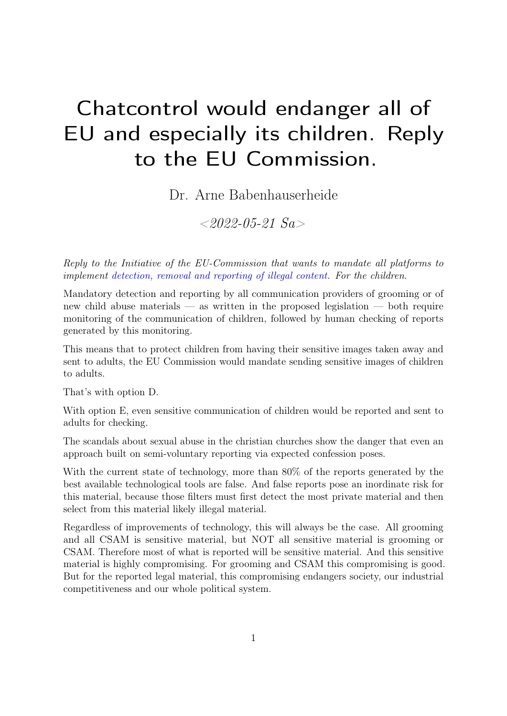## Chatcontrol would endanger all of EU and especially its children. Reply to the EU Commission.

Dr. Arne Babenhauserheide

 $<\!\!2022\text{-}05\text{-}21$  Sa  $>$ 

Reply to the Initiative of the EU-Commission that wants to mandate all platforms to implement [detection, removal and reporting of illegal content.](https://ec.europa.eu/info/law/better-regulation/have-your-say/initiatives/12726-Fighting-child-sexual-abuse-detection-removal-and-reporting-of-illegal-content-online/) For the children.

Mandatory detection and reporting by all communication providers of grooming or of new child abuse materials — as written in the proposed legislation — both require monitoring of the communication of children, followed by human checking of reports generated by this monitoring.

This means that to protect children from having their sensitive images taken away and sent to adults, the EU Commission would mandate sending sensitive images of children to adults.

That's with option D.

With option E, even sensitive communication of children would be reported and sent to adults for checking.

The scandals about sexual abuse in the christian churches show the danger that even an approach built on semi-voluntary reporting via expected confession poses.

With the current state of technology, more than 80% of the reports generated by the best available technological tools are false. And false reports pose an inordinate risk for this material, because those filters must first detect the most private material and then select from this material likely illegal material.

Regardless of improvements of technology, this will always be the case. All grooming and all CSAM is sensitive material, but NOT all sensitive material is grooming or CSAM. Therefore most of what is reported will be sensitive material. And this sensitive material is highly compromising. For grooming and CSAM this compromising is good. But for the reported legal material, this compromising endangers society, our industrial competitiveness and our whole political system.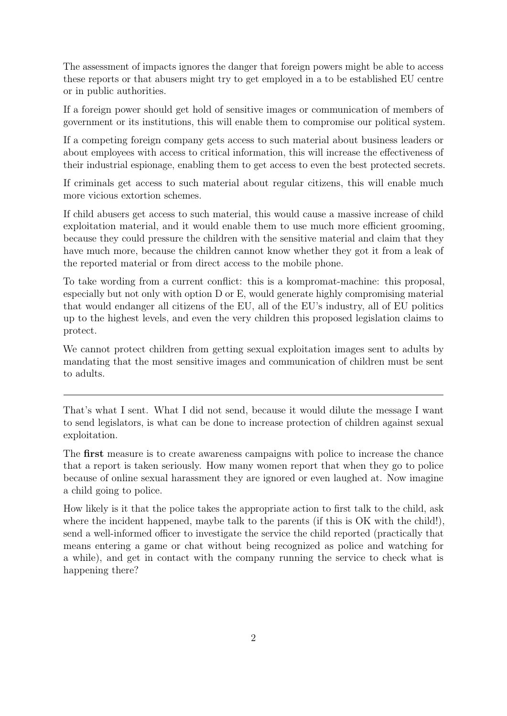The assessment of impacts ignores the danger that foreign powers might be able to access these reports or that abusers might try to get employed in a to be established EU centre or in public authorities.

If a foreign power should get hold of sensitive images or communication of members of government or its institutions, this will enable them to compromise our political system.

If a competing foreign company gets access to such material about business leaders or about employees with access to critical information, this will increase the effectiveness of their industrial espionage, enabling them to get access to even the best protected secrets.

If criminals get access to such material about regular citizens, this will enable much more vicious extortion schemes.

If child abusers get access to such material, this would cause a massive increase of child exploitation material, and it would enable them to use much more efficient grooming, because they could pressure the children with the sensitive material and claim that they have much more, because the children cannot know whether they got it from a leak of the reported material or from direct access to the mobile phone.

To take wording from a current conflict: this is a kompromat-machine: this proposal, especially but not only with option D or E, would generate highly compromising material that would endanger all citizens of the EU, all of the EU's industry, all of EU politics up to the highest levels, and even the very children this proposed legislation claims to protect.

We cannot protect children from getting sexual exploitation images sent to adults by mandating that the most sensitive images and communication of children must be sent to adults.

That's what I sent. What I did not send, because it would dilute the message I want to send legislators, is what can be done to increase protection of children against sexual exploitation.

The first measure is to create awareness campaigns with police to increase the chance that a report is taken seriously. How many women report that when they go to police because of online sexual harassment they are ignored or even laughed at. Now imagine a child going to police.

How likely is it that the police takes the appropriate action to first talk to the child, ask where the incident happened, maybe talk to the parents (if this is OK with the child!), send a well-informed officer to investigate the service the child reported (practically that means entering a game or chat without being recognized as police and watching for a while), and get in contact with the company running the service to check what is happening there?